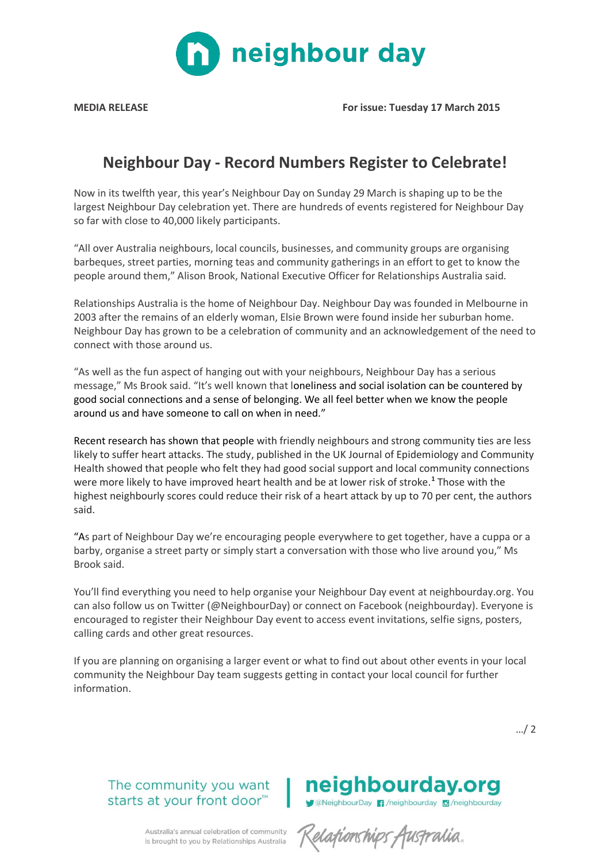

**MEDIA RELEASE For issue: Tuesday 17 March 2015**

# **Neighbour Day - Record Numbers Register to Celebrate!**

Now in its twelfth year, this year's Neighbour Day on Sunday 29 March is shaping up to be the largest Neighbour Day celebration yet. There are hundreds of events registered for Neighbour Day so far with close to 40,000 likely participants.

"All over Australia neighbours, local councils, businesses, and community groups are organising barbeques, street parties, morning teas and community gatherings in an effort to get to know the people around them," Alison Brook, National Executive Officer for Relationships Australia said.

Relationships Australia is the home of Neighbour Day. Neighbour Day was founded in Melbourne in 2003 after the remains of an elderly woman, Elsie Brown were found inside her suburban home. Neighbour Day has grown to be a celebration of community and an acknowledgement of the need to connect with those around us.

"As well as the fun aspect of hanging out with your neighbours, Neighbour Day has a serious message," Ms Brook said. "It's well known that loneliness and social isolation can be countered by good social connections and a sense of belonging. We all feel better when we know the people around us and have someone to call on when in need."

Recent research has shown that people with friendly neighbours and strong community ties are less likely to suffer heart attacks. The study, published in the UK Journal of Epidemiology and Community Health showed that people who felt they had good social support and local community connections were more likely to have improved heart health and be at lower risk of stroke.**<sup>1</sup>** Those with the highest neighbourly scores could reduce their risk of a heart attack by up to 70 per cent, the authors said.

"As part of Neighbour Day we're encouraging people everywhere to get together, have a cuppa or a barby, organise a street party or simply start a conversation with those who live around you," Ms Brook said.

You'll find everything you need to help organise your Neighbour Day event at neighbourday.org. You can also follow us on Twitter (@NeighbourDay) or connect on Facebook (neighbourday). Everyone is encouraged to register their Neighbour Day event to access event invitations, selfie signs, posters, calling cards and other great resources.

If you are planning on organising a larger event or what to find out about other events in your local community the Neighbour Day team suggests getting in contact your local council for further information.

…/ 2

### The community you want starts at your front door<sup>™</sup>

## neighbourday.org **Manufacturized Manufacturized Americal American** Manufacturized available and a Manufacturized available and a Ma

Australia's annual celebration of community is brought to you by Relationships Australia

Relationships Australia.